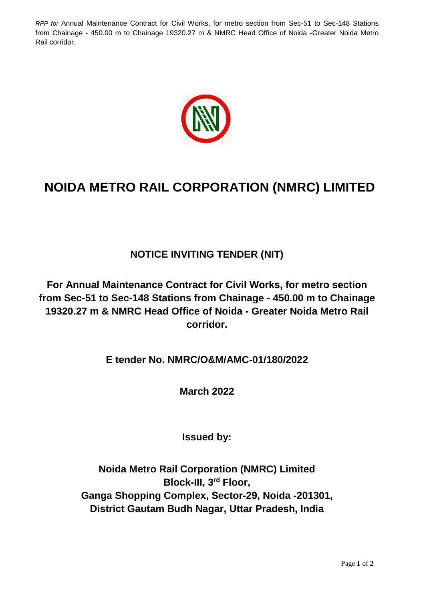*RFP for* Annual Maintenance Contract for Civil Works, for metro section from Sec-51 to Sec-148 Stations from Chainage - 450.00 m to Chainage 19320.27 m & NMRC Head Office of Noida -Greater Noida Metro Rail corridor.



## **NOIDA METRO RAIL CORPORATION (NMRC) LIMITED**

## **NOTICE INVITING TENDER (NIT)**

**For Annual Maintenance Contract for Civil Works, for metro section from Sec-51 to Sec-148 Stations from Chainage - 450.00 m to Chainage 19320.27 m & NMRC Head Office of Noida - Greater Noida Metro Rail corridor.**

**E tender No. NMRC/O&M/AMC-01/180/2022**

**March 2022**

**Issued by:**

**Noida Metro Rail Corporation (NMRC) Limited Block-III, 3rd Floor, Ganga Shopping Complex, Sector-29, Noida -201301, District Gautam Budh Nagar, Uttar Pradesh, India**